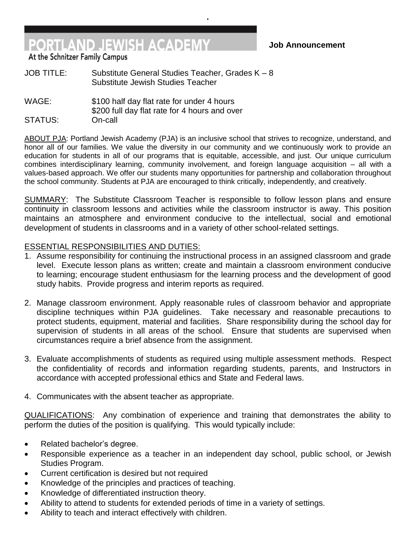## **Job Announcement**

At the Schnitzer Family Campus

JOB TITLE: Substitute General Studies Teacher, Grades K – 8 Substitute Jewish Studies Teacher

WAGE: \$100 half day flat rate for under 4 hours \$200 full day flat rate for 4 hours and over STATUS: On-call

**PORTLAND JEWISH ACADEMY** 

ABOUT PJA: Portland Jewish Academy (PJA) is an inclusive school that strives to recognize, understand, and honor all of our families. We value the diversity in our community and we continuously work to provide an education for students in all of our programs that is equitable, accessible, and just. Our unique curriculum combines interdisciplinary learning, community involvement, and foreign language acquisition – all with a values-based approach. We offer our students many opportunities for partnership and collaboration throughout the school community. Students at PJA are encouraged to think critically, independently, and creatively.

**.**

SUMMARY: The Substitute Classroom Teacher is responsible to follow lesson plans and ensure continuity in classroom lessons and activities while the classroom instructor is away. This position maintains an atmosphere and environment conducive to the intellectual, social and emotional development of students in classrooms and in a variety of other school-related settings.

## ESSENTIAL RESPONSIBILITIES AND DUTIES:

- 1. Assume responsibility for continuing the instructional process in an assigned classroom and grade level. Execute lesson plans as written; create and maintain a classroom environment conducive to learning; encourage student enthusiasm for the learning process and the development of good study habits. Provide progress and interim reports as required.
- 2. Manage classroom environment. Apply reasonable rules of classroom behavior and appropriate discipline techniques within PJA guidelines. Take necessary and reasonable precautions to protect students, equipment, material and facilities. Share responsibility during the school day for supervision of students in all areas of the school. Ensure that students are supervised when circumstances require a brief absence from the assignment.
- 3. Evaluate accomplishments of students as required using multiple assessment methods. Respect the confidentiality of records and information regarding students, parents, and Instructors in accordance with accepted professional ethics and State and Federal laws.
- 4. Communicates with the absent teacher as appropriate.

QUALIFICATIONS: Any combination of experience and training that demonstrates the ability to perform the duties of the position is qualifying. This would typically include:

- Related bachelor's degree.
- Responsible experience as a teacher in an independent day school, public school, or Jewish Studies Program.
- Current certification is desired but not required
- Knowledge of the principles and practices of teaching.
- Knowledge of differentiated instruction theory.
- Ability to attend to students for extended periods of time in a variety of settings.
- Ability to teach and interact effectively with children.